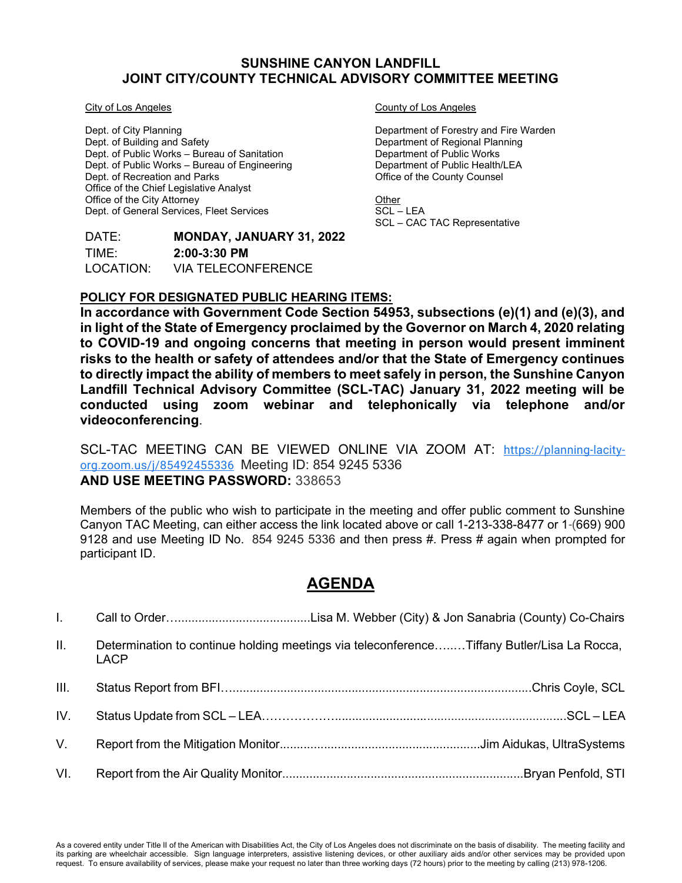#### SUNSHINE CANYON LANDFILL JOINT CITY/COUNTY TECHNICAL ADVISORY COMMITTEE MEETING

City of Los Angeles

Dept. of City Planning Dept. of Building and Safety Dept. of Public Works – Bureau of Sanitation Dept. of Public Works – Bureau of Engineering Dept. of Recreation and Parks Office of the Chief Legislative Analyst Office of the City Attorney Dept. of General Services, Fleet Services

## DATE: **MONDAY, JANUARY 31, 2022** TIME: 2:00-3:30 PM LOCATION: VIA TELECONFERENCE

#### County of Los Angeles

Department of Forestry and Fire Warden Department of Regional Planning Department of Public Works Department of Public Health/LEA Office of the County Counsel

**Other**  $SCL$  – LEA SCL – CAC TAC Representative

## POLICY FOR DESIGNATED PUBLIC HEARING ITEMS:

In accordance with Government Code Section 54953, subsections (e)(1) and (e)(3), and in light of the State of Emergency proclaimed by the Governor on March 4, 2020 relating to COVID-19 and ongoing concerns that meeting in person would present imminent risks to the health or safety of attendees and/or that the State of Emergency continues to directly impact the ability of members to meet safely in person, the Sunshine Canyon Landfill Technical Advisory Committee (SCL-TAC) January 31, 2022 meeting will be conducted using zoom webinar and telephonically via telephone and/or videoconferencing.

SCL-TAC MEETING CAN BE VIEWED ONLINE VIA ZOOM AT: https://planning-lacityorg.zoom.us/j/85492455336 Meeting ID: 854 9245 5336 AND USE MEETING PASSWORD: 338653

Members of the public who wish to participate in the meeting and offer public comment to Sunshine Canyon TAC Meeting, can either access the link located above or call 1-213-338-8477 or 1-(669) 900 9128 and use Meeting ID No. 854 9245 5336 and then press #. Press # again when prompted for participant ID.

# AGENDA

| $\mathbf{II}$ . | Determination to continue holding meetings via teleconferenceTiffany Butler/Lisa La Rocca,<br><b>LACP</b> |  |
|-----------------|-----------------------------------------------------------------------------------------------------------|--|
| III.            |                                                                                                           |  |
| IV.             |                                                                                                           |  |
| V.              |                                                                                                           |  |
| VI.             |                                                                                                           |  |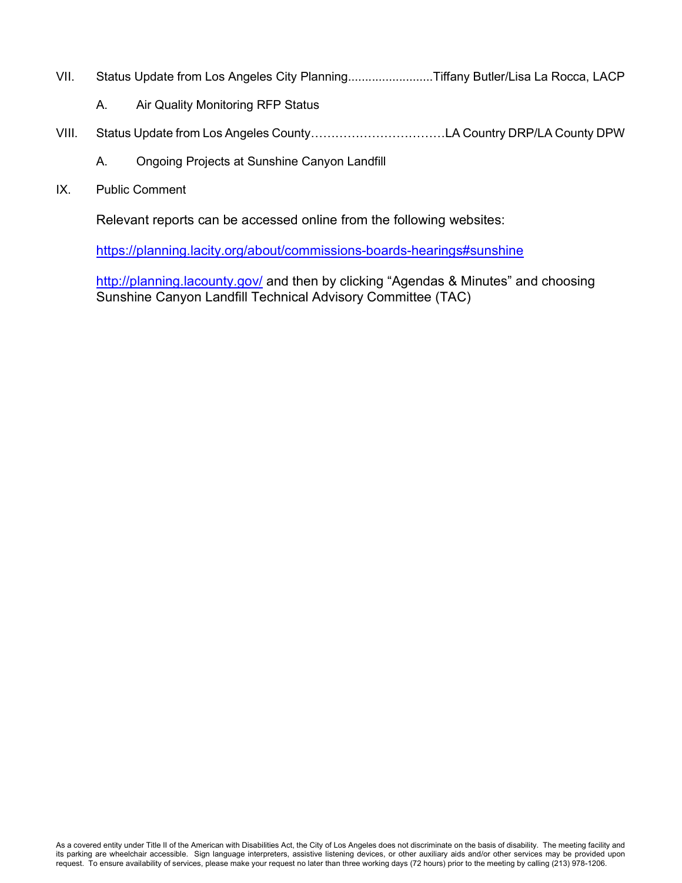- VII. Status Update from Los Angeles City Planning.........................Tiffany Butler/Lisa La Rocca, LACP
	- A. Air Quality Monitoring RFP Status
- VIII. Status Update from Los Angeles County……………………………LA Country DRP/LA County DPW
	- A. Ongoing Projects at Sunshine Canyon Landfill
- IX. Public Comment

Relevant reports can be accessed online from the following websites:

https://planning.lacity.org/about/commissions-boards-hearings#sunshine

http://planning.lacounty.gov/ and then by clicking "Agendas & Minutes" and choosing Sunshine Canyon Landfill Technical Advisory Committee (TAC)